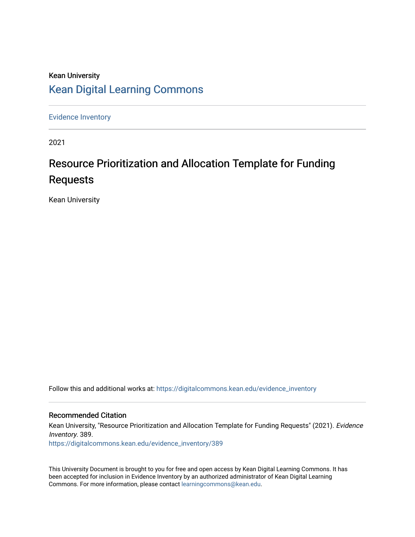## Kean University [Kean Digital Learning Commons](https://digitalcommons.kean.edu/)

[Evidence Inventory](https://digitalcommons.kean.edu/evidence_inventory) 

2021

# Resource Prioritization and Allocation Template for Funding Requests

Kean University

Follow this and additional works at: [https://digitalcommons.kean.edu/evidence\\_inventory](https://digitalcommons.kean.edu/evidence_inventory?utm_source=digitalcommons.kean.edu%2Fevidence_inventory%2F389&utm_medium=PDF&utm_campaign=PDFCoverPages)

#### Recommended Citation

Kean University, "Resource Prioritization and Allocation Template for Funding Requests" (2021). Evidence Inventory. 389. [https://digitalcommons.kean.edu/evidence\\_inventory/389](https://digitalcommons.kean.edu/evidence_inventory/389?utm_source=digitalcommons.kean.edu%2Fevidence_inventory%2F389&utm_medium=PDF&utm_campaign=PDFCoverPages)

This University Document is brought to you for free and open access by Kean Digital Learning Commons. It has been accepted for inclusion in Evidence Inventory by an authorized administrator of Kean Digital Learning Commons. For more information, please contact [learningcommons@kean.edu.](mailto:learningcommons@kean.edu)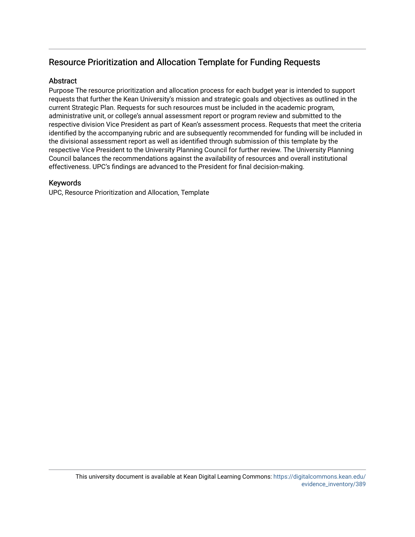### Resource Prioritization and Allocation Template for Funding Requests

#### **Abstract**

Purpose The resource prioritization and allocation process for each budget year is intended to support requests that further the Kean University's mission and strategic goals and objectives as outlined in the current Strategic Plan. Requests for such resources must be included in the academic program, administrative unit, or college's annual assessment report or program review and submitted to the respective division Vice President as part of Kean's assessment process. Requests that meet the criteria identified by the accompanying rubric and are subsequently recommended for funding will be included in the divisional assessment report as well as identified through submission of this template by the respective Vice President to the University Planning Council for further review. The University Planning Council balances the recommendations against the availability of resources and overall institutional effectiveness. UPC's findings are advanced to the President for final decision-making.

#### Keywords

UPC, Resource Prioritization and Allocation, Template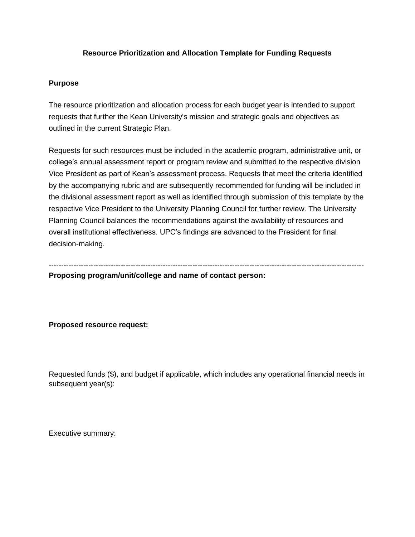#### **Resource Prioritization and Allocation Template for Funding Requests**

#### **Purpose**

The resource prioritization and allocation process for each budget year is intended to support requests that further the Kean University's mission and strategic goals and objectives as outlined in the current Strategic Plan.

Requests for such resources must be included in the academic program, administrative unit, or college's annual assessment report or program review and submitted to the respective division Vice President as part of Kean's assessment process. Requests that meet the criteria identified by the accompanying rubric and are subsequently recommended for funding will be included in the divisional assessment report as well as identified through submission of this template by the respective Vice President to the University Planning Council for further review. The University Planning Council balances the recommendations against the availability of resources and overall institutional effectiveness. UPC's findings are advanced to the President for final decision-making.

------------------------------------------------------------------------------------------------------------------------------- **Proposing program/unit/college and name of contact person:**

#### **Proposed resource request:**

Requested funds (\$), and budget if applicable, which includes any operational financial needs in subsequent year(s):

Executive summary: